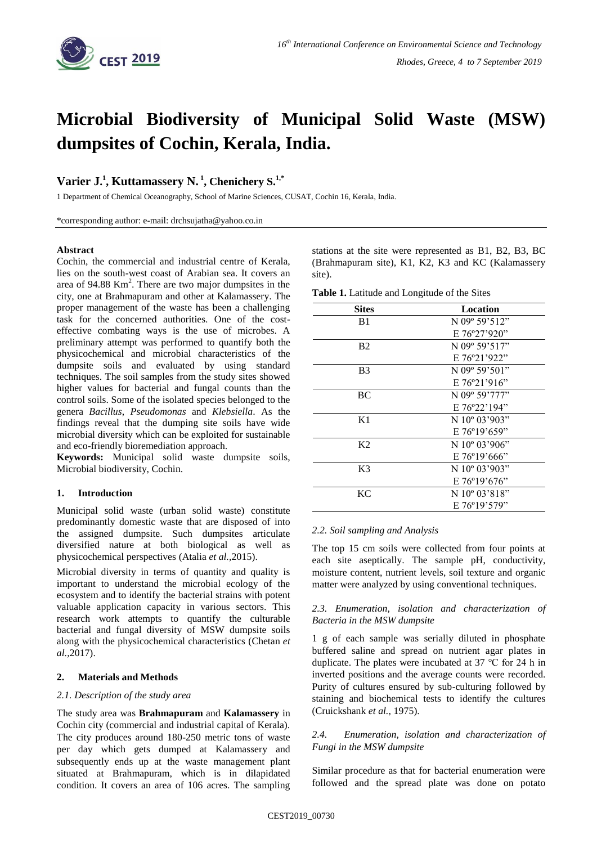

# **Microbial Biodiversity of Municipal Solid Waste (MSW) dumpsites of Cochin, Kerala, India.**

## **Varier J. 1 , Kuttamassery N. 1 , Chenichery S. 1,\***

1 Department of Chemical Oceanography, School of Marine Sciences, CUSAT, Cochin 16, Kerala, India.

\*corresponding author: e-mail: drchsujatha@yahoo.co.in

## **Abstract**

Cochin, the commercial and industrial centre of Kerala, lies on the south-west coast of Arabian sea. It covers an area of  $94.88$  Km<sup>2</sup>. There are two major dumpsites in the city, one at Brahmapuram and other at Kalamassery. The proper management of the waste has been a challenging task for the concerned authorities. One of the costeffective combating ways is the use of microbes. A preliminary attempt was performed to quantify both the physicochemical and microbial characteristics of the dumpsite soils and evaluated by using standard techniques. The soil samples from the study sites showed higher values for bacterial and fungal counts than the control soils. Some of the isolated species belonged to the genera *Bacillus*, *Pseudomonas* and *Klebsiella*. As the findings reveal that the dumping site soils have wide microbial diversity which can be exploited for sustainable and eco-friendly bioremediation approach.

**Keywords:** Municipal solid waste dumpsite soils, Microbial biodiversity, Cochin.

## **1. Introduction**

Municipal solid waste (urban solid waste) constitute predominantly domestic waste that are disposed of into the assigned dumpsite. Such dumpsites articulate diversified nature at both biological as well as physicochemical perspectives (Atalia *et al.,*2015).

Microbial diversity in terms of quantity and quality is important to understand the microbial ecology of the ecosystem and to identify the bacterial strains with potent valuable application capacity in various sectors. This research work attempts to quantify the culturable bacterial and fungal diversity of MSW dumpsite soils along with the physicochemical characteristics (Chetan *et al.,*2017).

## **2. Materials and Methods**

## *2.1. Description of the study area*

The study area was **Brahmapuram** and **Kalamassery** in Cochin city (commercial and industrial capital of Kerala). The city produces around 180-250 metric tons of waste per day which gets dumped at Kalamassery and subsequently ends up at the waste management plant situated at Brahmapuram, which is in dilapidated condition. It covers an area of 106 acres. The sampling stations at the site were represented as B1, B2, B3, BC (Brahmapuram site), K1, K2, K3 and KC (Kalamassery site).

**Table 1.** Latitude and Longitude of the Sites

| <b>Sites</b>   | Location                  |
|----------------|---------------------------|
| B1             | N 09° 59'512"             |
|                | $E76^{\circ}27'920"$      |
| <b>B2</b>      | N 09° 59'517"             |
|                | $E76^{\circ}21'922"$      |
| B3             | N 09 <sup>°</sup> 59'501" |
|                | $E76^{\circ}21'916"$      |
| BC             | N 09° 59'777"             |
|                | E 76°22'194"              |
| K1             | N $10^{\circ}$ 03'903"    |
|                | $E 76^{\circ}19'659"$     |
| K <sub>2</sub> | N $10^{\circ}$ 03'906"    |
|                | $E76^{\circ}19'666"$      |
| K3             | N $10^{\circ}$ 03'903"    |
|                | $E76^{\circ}19'676"$      |
| KC             | N 10° 03'818"             |
|                | $E76^{\circ}19'579"$      |

## *2.2. Soil sampling and Analysis*

The top 15 cm soils were collected from four points at each site aseptically. The sample pH, conductivity, moisture content, nutrient levels, soil texture and organic matter were analyzed by using conventional techniques.

## *2.3. Enumeration, isolation and characterization of Bacteria in the MSW dumpsite*

1 g of each sample was serially diluted in phosphate buffered saline and spread on nutrient agar plates in duplicate. The plates were incubated at 37 ℃ for 24 h in inverted positions and the average counts were recorded. Purity of cultures ensured by sub-culturing followed by staining and biochemical tests to identify the cultures (Cruickshank *et al.,* 1975).

## *2.4. Enumeration, isolation and characterization of Fungi in the MSW dumpsite*

Similar procedure as that for bacterial enumeration were followed and the spread plate was done on potato